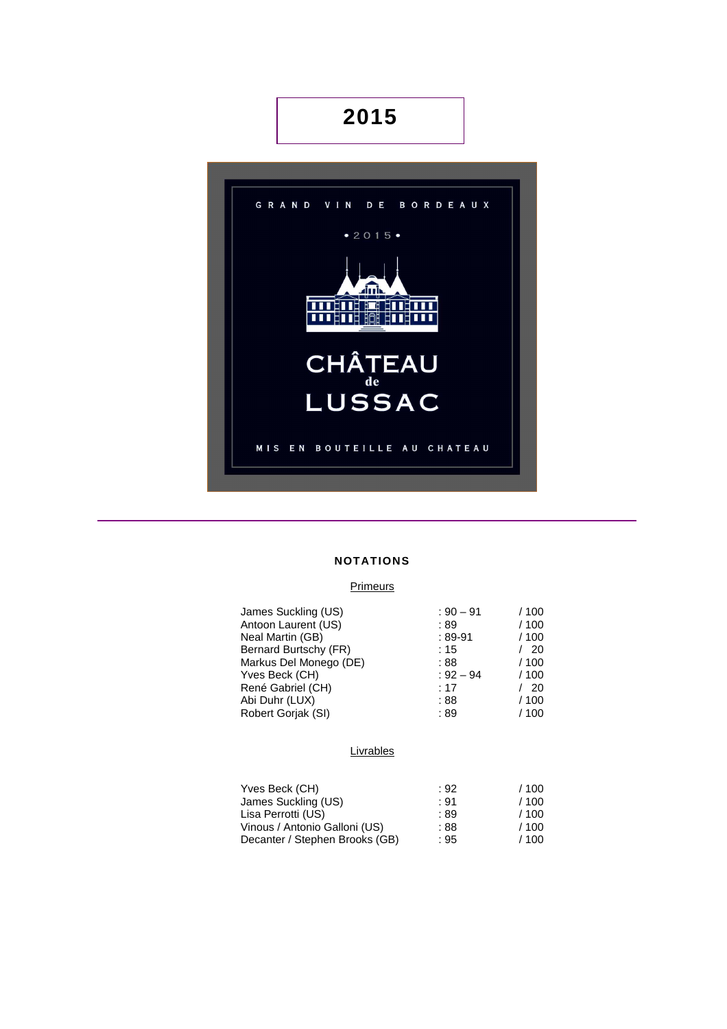# **2015**



### **NOTATIONS**

### **Primeurs**

|             | / 100              |
|-------------|--------------------|
|             |                    |
|             | /100               |
| $:89-91$    | / 100              |
| :15         | -20                |
| : 88        | / 100              |
| $: 92 - 94$ | /100               |
| : 17        | -20                |
| :88         | / 100              |
| :89         | / 100              |
|             | $: 90 - 91$<br>:89 |

### **Livrables**

| Yves Beck (CH)                 | : 92 | /100 |
|--------------------------------|------|------|
| James Suckling (US)            | : 91 | /100 |
| Lisa Perrotti (US)             | : 89 | /100 |
| Vinous / Antonio Galloni (US)  | : 88 | /100 |
| Decanter / Stephen Brooks (GB) | : 95 | /100 |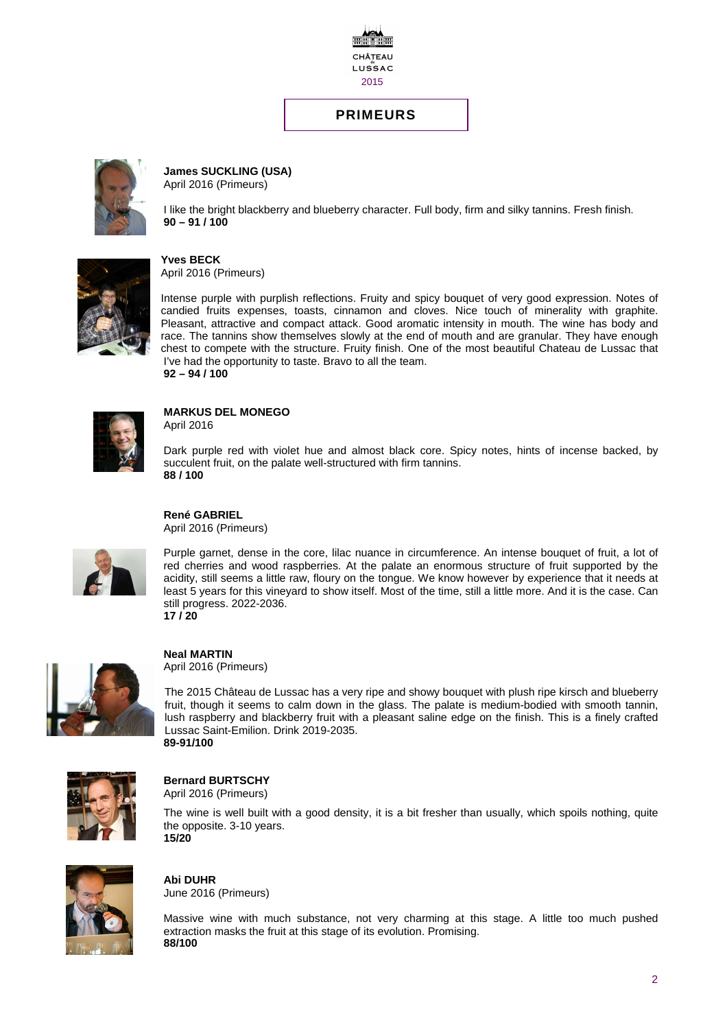

### **PRIMEURS**



**James SUCKLING (USA)**  April 2016 (Primeurs)

I like the bright blackberry and blueberry character. Full body, firm and silky tannins. Fresh finish. **90 – 91 / 100** 



**Yves BECK**  April 2016 (Primeurs)

Intense purple with purplish reflections. Fruity and spicy bouquet of very good expression. Notes of candied fruits expenses, toasts, cinnamon and cloves. Nice touch of minerality with graphite. Pleasant, attractive and compact attack. Good aromatic intensity in mouth. The wine has body and race. The tannins show themselves slowly at the end of mouth and are granular. They have enough chest to compete with the structure. Fruity finish. One of the most beautiful Chateau de Lussac that I've had the opportunity to taste. Bravo to all the team. **92 – 94 / 100**



#### **MARKUS DEL MONEGO**  April 2016

Dark purple red with violet hue and almost black core. Spicy notes, hints of incense backed, by succulent fruit, on the palate well-structured with firm tannins. **88 / 100**

**René GABRIEL**  April 2016 (Primeurs)



Purple garnet, dense in the core, lilac nuance in circumference. An intense bouquet of fruit, a lot of red cherries and wood raspberries. At the palate an enormous structure of fruit supported by the acidity, still seems a little raw, floury on the tongue. We know however by experience that it needs at least 5 years for this vineyard to show itself. Most of the time, still a little more. And it is the case. Can still progress. 2022-2036. **17 / 20** 



**Neal MARTIN** 

April 2016 (Primeurs)

The 2015 Château de Lussac has a very ripe and showy bouquet with plush ripe kirsch and blueberry fruit, though it seems to calm down in the glass. The palate is medium-bodied with smooth tannin, lush raspberry and blackberry fruit with a pleasant saline edge on the finish. This is a finely crafted Lussac Saint-Emilion. Drink 2019-2035. **89-91/100**



**Bernard BURTSCHY**  April 2016 (Primeurs)

The wine is well built with a good density, it is a bit fresher than usually, which spoils nothing, quite the opposite. 3-10 years. **15/20** 



**Abi DUHR**  June 2016 (Primeurs)

Massive wine with much substance, not very charming at this stage. A little too much pushed extraction masks the fruit at this stage of its evolution. Promising. **88/100**